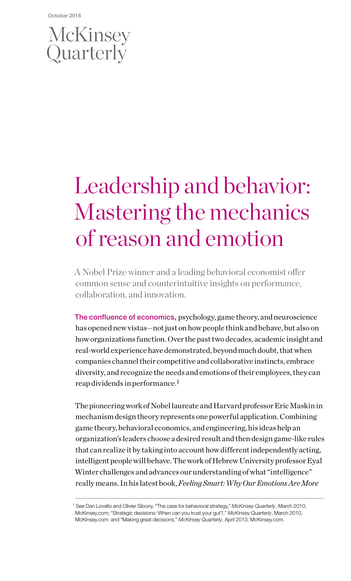## McKinsey Quarterly

# Leadership and behavior: Mastering the mechanics of reason and emotion

A Nobel Prize winner and a leading behavioral economist offer common sense and counterintuitive insights on performance, collaboration, and innovation.

The confluence of economics, psychology, game theory, and neuroscience has opened new vistas—not just on how people think and behave, but also on how organizations function. Over the past two decades, academic insight and real-world experience have demonstrated, beyond much doubt, that when companies channel their competitive and collaborative instincts, embrace diversity, and recognize the needs and emotions of their employees, they can reap dividends in performance.<sup>1</sup>

The pioneering work of Nobel laureate and Harvard professor Eric Maskin in mechanism design theory represents one powerful application. Combining game theory, behavioral economics, and engineering, his ideas help an organization's leaders choose a desired result and then design game-like rules that can realize it by taking into account how different independently acting, intelligent people will behave. The work of Hebrew University professor Eyal Winter challenges and advances our understanding of what "intelligence" really means. In his latest book, *Feeling Smart: Why Our Emotions Are More* 

<sup>1</sup> See Dan Lovallo and Olivier Sibony, "The case for behavioral strategy," *McKinsey Quarterly*, March 2010, McKinsey.com; "Strategic decisions: When can you trust your gut?," *McKinsey Quarterly*, March 2010, McKinsey.com; and "Making great decisions," *McKinsey Quarterly*, April 2013, McKinsey.com.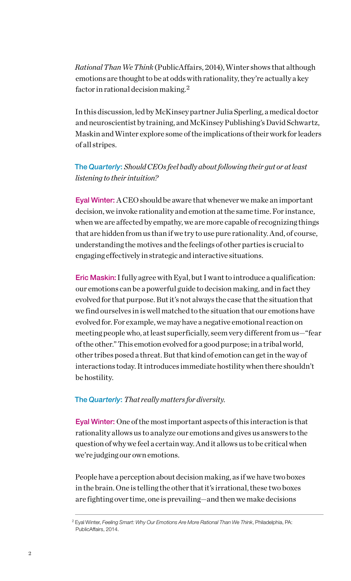*Rational Than We Think* (PublicAffairs, 2014), Winter shows that although emotions are thought to be at odds with rationality, they're actually a key factor in rational decision making.<sup>2</sup>

In this discussion, led by McKinsey partner Julia Sperling, a medical doctor and neuroscientist by training, and McKinsey Publishing's David Schwartz, Maskin and Winter explore some of the implications of their work for leaders of all stripes.

### The *Quarterly*: *Should CEOs feel badly about following their gut or at least listening to their intuition?*

Eyal Winter: A CEO should be aware that whenever we make an important decision, we invoke rationality and emotion at the same time. For instance, when we are affected by empathy, we are more capable of recognizing things that are hidden from us than if we try to use pure rationality. And, of course, understanding the motives and the feelings of other parties is crucial to engaging effectively in strategic and interactive situations.

Eric Maskin: I fully agree with Eyal, but I want to introduce a qualification: our emotions can be a powerful guide to decision making, and in fact they evolved for that purpose. But it's not always the case that the situation that we find ourselves in is well matched to the situation that our emotions have evolved for. For example, we may have a negative emotional reaction on meeting people who, at least superficially, seem very different from us—"fear of the other." This emotion evolved for a good purpose; in a tribal world, other tribes posed a threat. But that kind of emotion can get in the way of interactions today. It introduces immediate hostility when there shouldn't be hostility.

### The *Quarterly*: *That really matters for diversity.*

Eyal Winter: One of the most important aspects of this interaction is that rationality allows us to analyze our emotions and gives us answers to the question of why we feel a certain way. And it allows us to be critical when we're judging our own emotions.

People have a perception about decision making, as if we have two boxes in the brain. One is telling the other that it's irrational, these two boxes are fighting over time, one is prevailing—and then we make decisions

<sup>2</sup> Eyal Winter, *Feeling Smart: Why Our Emotions Are More Rational Than We Think*, Philadelphia, PA: PublicAffairs, 2014.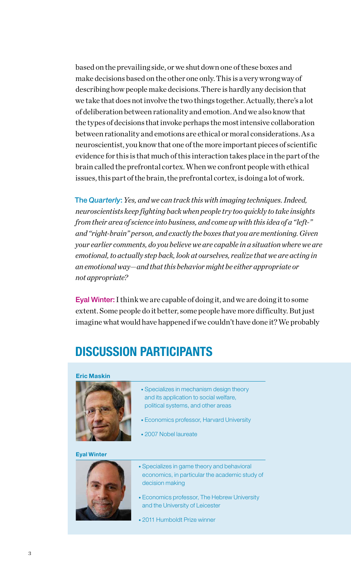based on the prevailing side, or we shut down one of these boxes and make decisions based on the other one only. This is a very wrong way of describing how people make decisions. There is hardly any decision that we take that does not involve the two things together. Actually, there's a lot of deliberation between rationality and emotion. And we also know that the types of decisions that invoke perhaps the most intensive collaboration between rationality and emotions are ethical or moral considerations. As a neuroscientist, you know that one of the more important pieces of scientific evidence for this is that much of this interaction takes place in the part of the brain called the prefrontal cortex. When we confront people with ethical issues, this part of the brain, the prefrontal cortex, is doing a lot of work.

The *Quarterly*:*Yes, and we can track this with imaging techniques. Indeed, neuroscientists keep fighting back when people try too quickly to take insights from their area of science into business, and come up with this idea of a "left-" and "right-brain" person, and exactly the boxes that you are mentioning. Given your earlier comments, do you believe we are capable in a situation where we are emotional, to actually step back, look at ourselves, realize that we are acting in an emotional way—and that this behavior might be either appropriate or not appropriate?*

Eyal Winter: I think we are capable of doing it, and we are doing it to some extent. Some people do it better, some people have more difficulty. But just imagine what would have happened if we couldn't have done it? We probably

### DISCUSSION PARTICIPANTS

#### Eric Maskin



- Specializes in mechanism design theory and its application to social welfare, political systems, and other areas
- Economics professor, Harvard University
- 2007 Nobel laureate

### Eyal Winter



- Specializes in game theory and behavioral economics, in particular the academic study of decision making
- Economics professor, The Hebrew University and the University of Leicester
- 2011 Humboldt Prize winner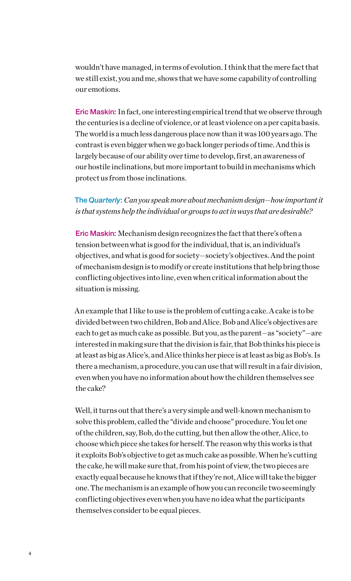wouldn't have managed, in terms of evolution. I think that the mere fact that we still exist, you and me, shows that we have some capability of controlling our emotions.

Eric Maskin: In fact, one interesting empirical trend that we observe through the centuries is a decline of violence, or at least violence on a per capita basis. The world is a much less dangerous place now than it was 100 years ago. The contrast is even bigger when we go back longer periods of time. And this is largely because of our ability over time to develop, first, an awareness of our hostile inclinations, but more important to build in mechanisms which protect us from those inclinations.

The *Quarterly*: *Can you speak more about mechanism design—how important it is that systems help the individual or groups to act in ways that are desirable?*

Eric Maskin: Mechanism design recognizes the fact that there's often a tension between what is good for the individual, that is, an individual's objectives, and what is good for society—society's objectives. And the point of mechanism design is to modify or create institutions that help bring those conflicting objectives into line, even when critical information about the situation is missing.

An example that I like to use is the problem of cutting a cake. A cake is to be divided between two children, Bob and Alice. Bob and Alice's objectives are each to get as much cake as possible. But you, as the parent—as "society"—are interested in making sure that the division is fair, that Bob thinks his piece is at least as big as Alice's, and Alice thinks her piece is at least as big as Bob's. Is there a mechanism, a procedure, you can use that will result in a fair division, even when you have no information about how the children themselves see the cake?

Well, it turns out that there's a very simple and well-known mechanism to solve this problem, called the "divide and choose" procedure. You let one of the children, say, Bob, do the cutting, but then allow the other, Alice, to choose which piece she takes for herself. The reason why this works is that it exploits Bob's objective to get as much cake as possible. When he's cutting the cake, he will make sure that, from his point of view, the two pieces are exactly equal because he knows that if they're not, Alice will take the bigger one. The mechanism is an example of how you can reconcile two seemingly conflicting objectives even when you have no idea what the participants themselves consider to be equal pieces.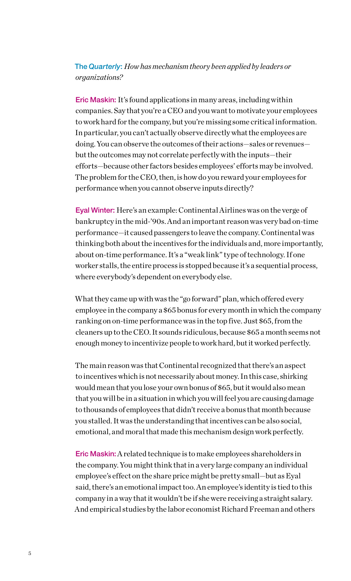### The *Quarterly*: *How has mechanism theory been applied by leaders or organizations?*

Eric Maskin: It's found applications in many areas, including within companies. Say that you're a CEO and you want to motivate your employees to work hard for the company, but you're missing some critical information. In particular, you can't actually observe directly what the employees are doing. You can observe the outcomes of their actions—sales or revenues but the outcomes may not correlate perfectly with the inputs—their efforts—because other factors besides employees' efforts may be involved. The problem for the CEO, then, is how do you reward your employees for performance when you cannot observe inputs directly?

Eyal Winter: Here's an example: Continental Airlines was on the verge of bankruptcy in the mid-'90s. And an important reason was very bad on-time performance—it caused passengers to leave the company. Continental was thinking both about the incentives for the individuals and, more importantly, about on-time performance. It's a "weak link" type of technology. If one worker stalls, the entire process is stopped because it's a sequential process, where everybody's dependent on everybody else.

What they came up with was the "go forward" plan, which offered every employee in the company a \$65 bonus for every month in which the company ranking on on-time performance was in the top five. Just \$65, from the cleaners up to the CEO. It sounds ridiculous, because \$65 a month seems not enough money to incentivize people to work hard, but it worked perfectly.

The main reason was that Continental recognized that there's an aspect to incentives which is not necessarily about money. In this case, shirking would mean that you lose your own bonus of \$65, but it would also mean that you will be in a situation in which you will feel you are causing damage to thousands of employees that didn't receive a bonus that month because you stalled. It was the understanding that incentives can be also social, emotional, and moral that made this mechanism design work perfectly.

Eric Maskin: A related technique is to make employees shareholders in the company. You might think that in a very large company an individual employee's effect on the share price might be pretty small—but as Eyal said, there's an emotional impact too. An employee's identity is tied to this company in a way that it wouldn't be if she were receiving a straight salary. And empirical studies by the labor economist Richard Freeman and others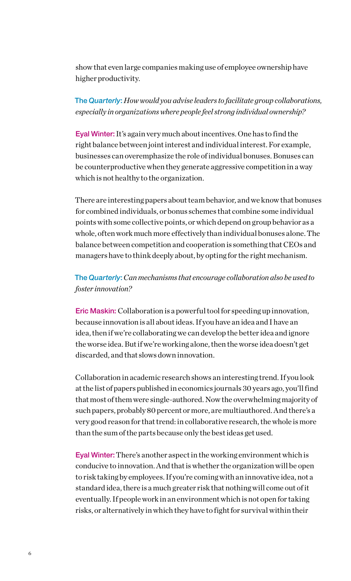show that even large companies making use of employee ownership have higher productivity.

The *Quarterly*: *How would you advise leaders to facilitate group collaborations, especially in organizations where people feel strong individual ownership?*

Eyal Winter: It's again very much about incentives. One has to find the right balance between joint interest and individual interest. For example, businesses can overemphasize the role of individual bonuses. Bonuses can be counterproductive when they generate aggressive competition in a way which is not healthy to the organization.

There are interesting papers about team behavior, and we know that bonuses for combined individuals, or bonus schemes that combine some individual points with some collective points, or which depend on group behavior as a whole, often work much more effectively than individual bonuses alone. The balance between competition and cooperation is something that CEOs and managers have to think deeply about, by opting for the right mechanism.

### The *Quarterly*:*Can mechanisms that encourage collaboration also be used to foster innovation?*

Eric Maskin: Collaboration is a powerful tool for speeding up innovation, because innovation is all about ideas. If you have an idea and I have an idea, then if we're collaborating we can develop the better idea and ignore the worse idea. But if we're working alone, then the worse idea doesn't get discarded, and that slows down innovation.

Collaboration in academic research shows an interesting trend. If you look at the list of papers published in economics journals 30 years ago, you'll find that most of them were single-authored. Now the overwhelming majority of such papers, probably 80 percent or more, are multiauthored. And there's a very good reason for that trend: in collaborative research, the whole is more than the sum of the parts because only the best ideas get used.

Eyal Winter: There's another aspect in the working environment which is conducive to innovation. And that is whether the organization will be open to risk taking by employees. If you're coming with an innovative idea, not a standard idea, there is a much greater risk that nothing will come out of it eventually. If people work in an environment which is not open for taking risks, or alternatively in which they have to fight for survival within their